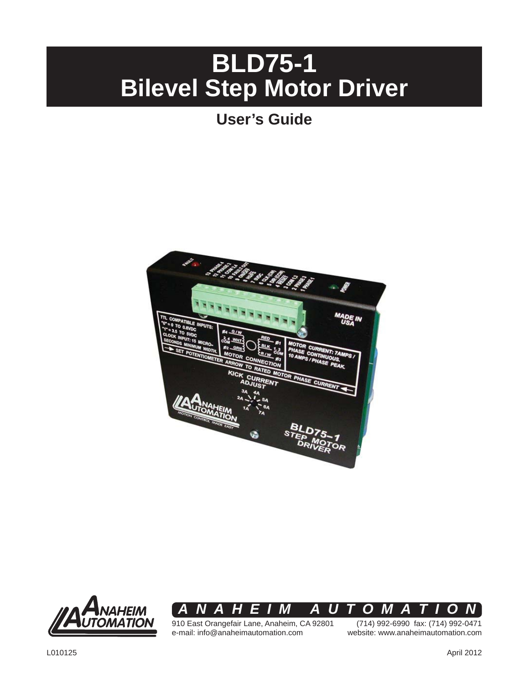# **BLD75-1 Bilevel Step Motor Driver**

## **User's Guide**







910 East Orangefair Lane, Anaheim, CA 92801 e-mail: info@anaheimautomation.com

(714) 992-6990 fax: (714) 992-0471 website: www.anaheimautomation.com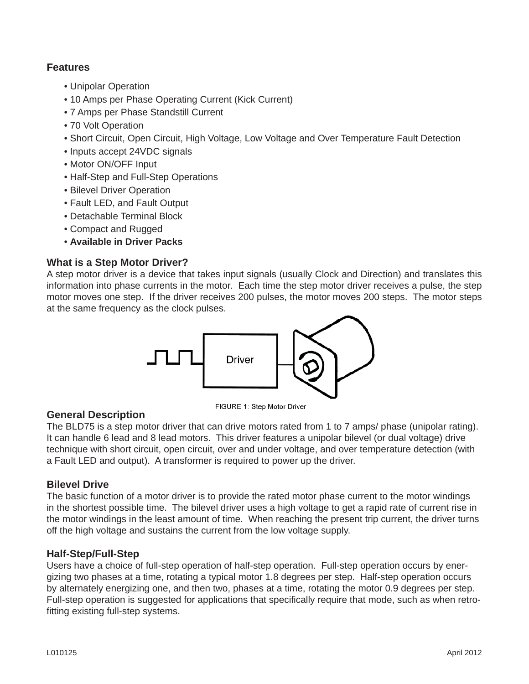#### **Features**

- Unipolar Operation
- 10 Amps per Phase Operating Current (Kick Current)
- 7 Amps per Phase Standstill Current
- 70 Volt Operation
- Short Circuit, Open Circuit, High Voltage, Low Voltage and Over Temperature Fault Detection
- Inputs accept 24VDC signals
- Motor ON/OFF Input
- Half-Step and Full-Step Operations
- Bilevel Driver Operation
- Fault LED, and Fault Output
- Detachable Terminal Block
- Compact and Rugged
- **Available in Driver Packs**

#### **What is a Step Motor Driver?**

A step motor driver is a device that takes input signals (usually Clock and Direction) and translates this information into phase currents in the motor. Each time the step motor driver receives a pulse, the step motor moves one step. If the driver receives 200 pulses, the motor moves 200 steps. The motor steps at the same frequency as the clock pulses.



FIGURE 1: Step Motor Driver

#### **General Description**

The BLD75 is a step motor driver that can drive motors rated from 1 to 7 amps/ phase (unipolar rating). It can handle 6 lead and 8 lead motors. This driver features a unipolar bilevel (or dual voltage) drive technique with short circuit, open circuit, over and under voltage, and over temperature detection (with a Fault LED and output). A transformer is required to power up the driver.

#### **Bilevel Drive**

The basic function of a motor driver is to provide the rated motor phase current to the motor windings in the shortest possible time. The bilevel driver uses a high voltage to get a rapid rate of current rise in the motor windings in the least amount of time. When reaching the present trip current, the driver turns off the high voltage and sustains the current from the low voltage supply.

#### **Half-Step/Full-Step**

Users have a choice of full-step operation of half-step operation. Full-step operation occurs by energizing two phases at a time, rotating a typical motor 1.8 degrees per step. Half-step operation occurs by alternately energizing one, and then two, phases at a time, rotating the motor 0.9 degrees per step. Full-step operation is suggested for applications that specifically require that mode, such as when retrofitting existing full-step systems.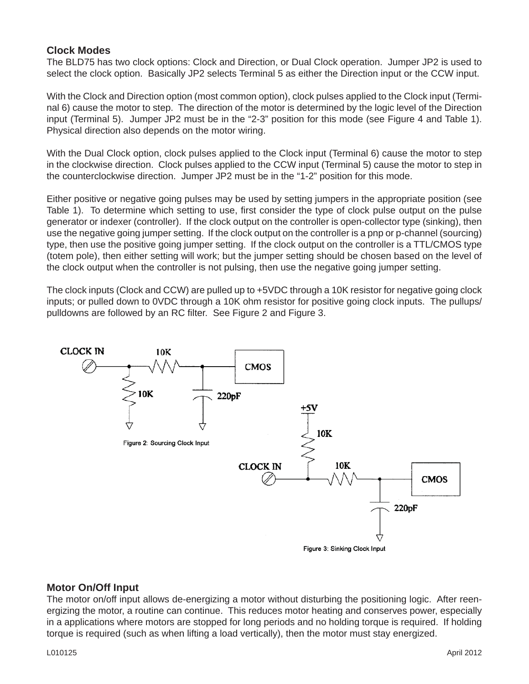#### **Clock Modes**

The BLD75 has two clock options: Clock and Direction, or Dual Clock operation. Jumper JP2 is used to select the clock option. Basically JP2 selects Terminal 5 as either the Direction input or the CCW input.

With the Clock and Direction option (most common option), clock pulses applied to the Clock input (Terminal 6) cause the motor to step. The direction of the motor is determined by the logic level of the Direction input (Terminal 5). Jumper JP2 must be in the "2-3" position for this mode (see Figure 4 and Table 1). Physical direction also depends on the motor wiring.

With the Dual Clock option, clock pulses applied to the Clock input (Terminal 6) cause the motor to step in the clockwise direction. Clock pulses applied to the CCW input (Terminal 5) cause the motor to step in the counterclockwise direction. Jumper JP2 must be in the "1-2" position for this mode.

Either positive or negative going pulses may be used by setting jumpers in the appropriate position (see Table 1). To determine which setting to use, first consider the type of clock pulse output on the pulse generator or indexer (controller). If the clock output on the controller is open-collector type (sinking), then use the negative going jumper setting. If the clock output on the controller is a pnp or p-channel (sourcing) type, then use the positive going jumper setting. If the clock output on the controller is a TTL/CMOS type (totem pole), then either setting will work; but the jumper setting should be chosen based on the level of the clock output when the controller is not pulsing, then use the negative going jumper setting.

The clock inputs (Clock and CCW) are pulled up to +5VDC through a 10K resistor for negative going clock inputs; or pulled down to 0VDC through a 10K ohm resistor for positive going clock inputs. The pullups/ pulldowns are followed by an RC filter. See Figure 2 and Figure 3.



#### **Motor On/Off Input**

The motor on/off input allows de-energizing a motor without disturbing the positioning logic. After reenergizing the motor, a routine can continue. This reduces motor heating and conserves power, especially in a applications where motors are stopped for long periods and no holding torque is required. If holding torque is required (such as when lifting a load vertically), then the motor must stay energized.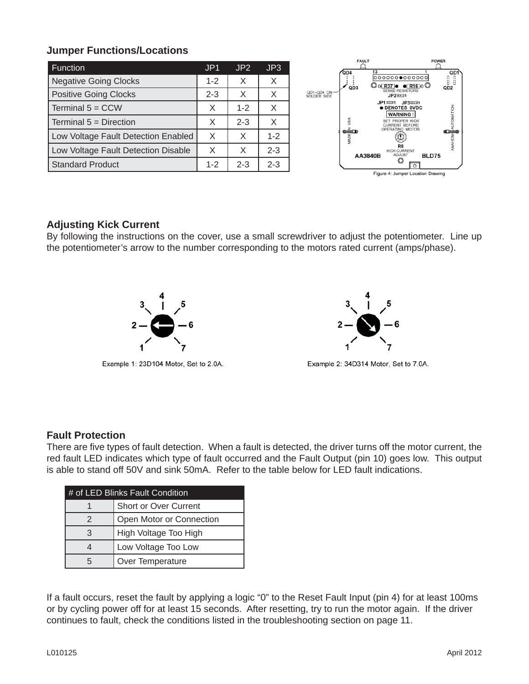#### **Jumper Functions/Locations**

| <b>Function</b>                     | JP <sub>1</sub> | JP <sub>2</sub> | JP3     |  |
|-------------------------------------|-----------------|-----------------|---------|--|
| <b>Negative Going Clocks</b>        | $1 - 2$         | X               | X       |  |
| <b>Positive Going Clocks</b>        | $2 - 3$         | X               | X       |  |
| Terminal $5 = CCW$                  | X               | $1 - 2$         | X       |  |
| Terminal $5 =$ Direction            | X               | $2 - 3$         | X       |  |
| Low Voltage Fault Detection Enabled | X               | $\times$        | $1 - 2$ |  |
| Low Voltage Fault Detection Disable | X               | X               | $2 - 3$ |  |
| <b>Standard Product</b>             | $1 - 2$         | $2 - 3$         | $2 - 3$ |  |



#### **Adjusting Kick Current**

By following the instructions on the cover, use a small screwdriver to adjust the potentiometer. Line up the potentiometer's arrow to the number corresponding to the motors rated current (amps/phase).



Example 1: 23D104 Motor, Set to 2.0A.



Example 2: 34D314 Motor, Set to 7.0A.

#### **Fault Protection**

There are five types of fault detection. When a fault is detected, the driver turns off the motor current, the red fault LED indicates which type of fault occurred and the Fault Output (pin 10) goes low. This output is able to stand off 50V and sink 50mA. Refer to the table below for LED fault indications.

| # of LED Blinks Fault Condition |                          |  |
|---------------------------------|--------------------------|--|
|                                 | Short or Over Current    |  |
| $\mathcal{P}$                   | Open Motor or Connection |  |
| 3                               | High Voltage Too High    |  |
|                                 | Low Voltage Too Low      |  |
| 5                               | Over Temperature         |  |

If a fault occurs, reset the fault by applying a logic "0" to the Reset Fault Input (pin 4) for at least 100ms or by cycling power off for at least 15 seconds. After resetting, try to run the motor again. If the driver continues to fault, check the conditions listed in the troubleshooting section on page 11.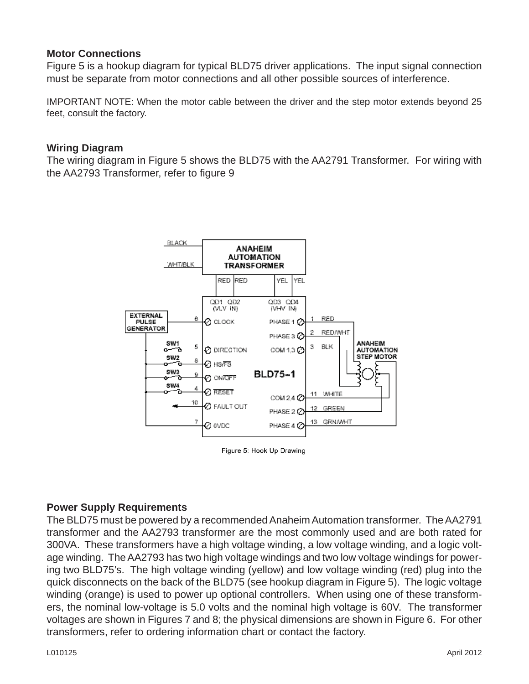#### **Motor Connections**

Figure 5 is a hookup diagram for typical BLD75 driver applications. The input signal connection must be separate from motor connections and all other possible sources of interference.

IMPORTANT NOTE: When the motor cable between the driver and the step motor extends beyond 25 feet, consult the factory.

#### **Wiring Diagram**

The wiring diagram in Figure 5 shows the BLD75 with the AA2791 Transformer. For wiring with the AA2793 Transformer, refer to figure 9



Figure 5: Hook Up Drawing

#### **Power Supply Requirements**

The BLD75 must be powered by a recommended Anaheim Automation transformer. The AA2791 transformer and the AA2793 transformer are the most commonly used and are both rated for 300VA. These transformers have a high voltage winding, a low voltage winding, and a logic voltage winding. The AA2793 has two high voltage windings and two low voltage windings for powering two BLD75's. The high voltage winding (yellow) and low voltage winding (red) plug into the quick disconnects on the back of the BLD75 (see hookup diagram in Figure 5). The logic voltage winding (orange) is used to power up optional controllers. When using one of these transformers, the nominal low-voltage is 5.0 volts and the nominal high voltage is 60V. The transformer voltages are shown in Figures 7 and 8; the physical dimensions are shown in Figure 6. For other transformers, refer to ordering information chart or contact the factory.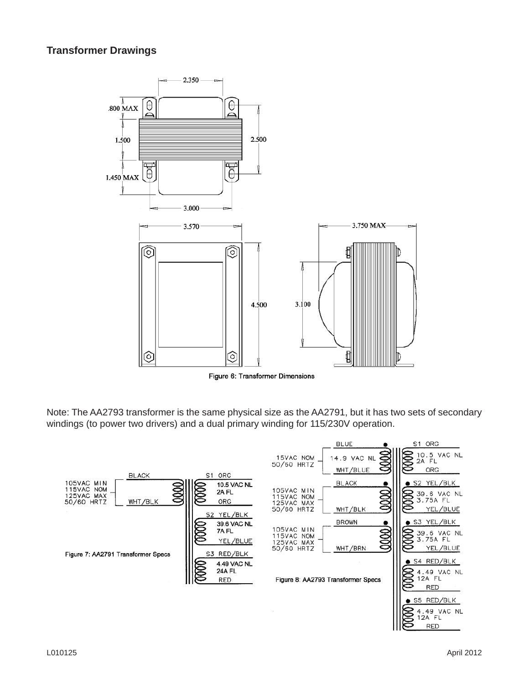#### **Transformer Drawings**



Figure 6: Transformer Dimensions

Note: The AA2793 transformer is the same physical size as the AA2791, but it has two sets of secondary windings (to power two drivers) and a dual primary winding for 115/230V operation.

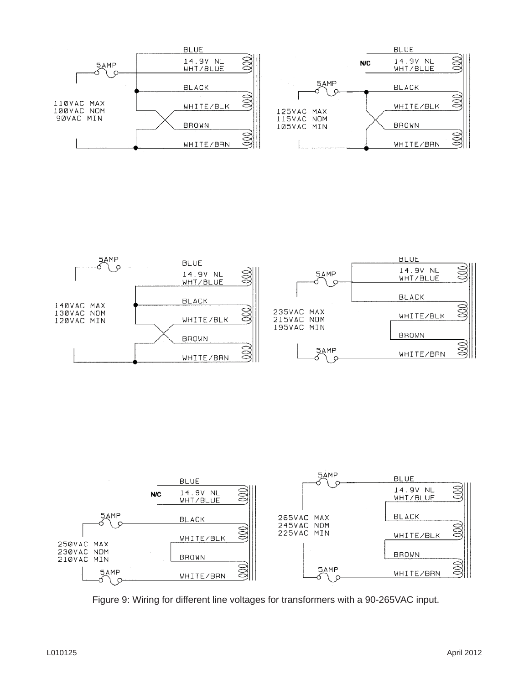





Figure 9: Wiring for different line voltages for transformers with a 90-265VAC input.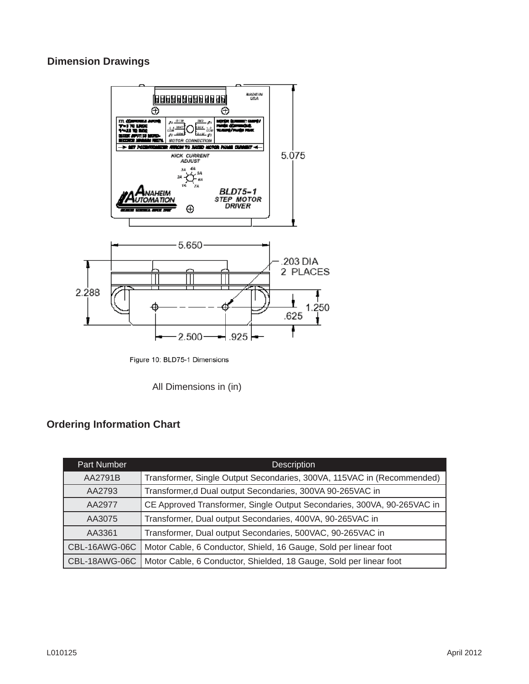#### **Dimension Drawings**



Figure 10: BLD75-1 Dimensions

All Dimensions in (in)

### **Ordering Information Chart**

| <b>Part Number</b> | <b>Description</b>                                                      |
|--------------------|-------------------------------------------------------------------------|
| AA2791B            | Transformer, Single Output Secondaries, 300VA, 115VAC in (Recommended)  |
| AA2793             | Transformer,d Dual output Secondaries, 300VA 90-265VAC in               |
| AA2977             | CE Approved Transformer, Single Output Secondaries, 300VA, 90-265VAC in |
| AA3075             | Transformer, Dual output Secondaries, 400VA, 90-265VAC in               |
| AA3361             | Transformer, Dual output Secondaries, 500VAC, 90-265VAC in              |
| CBL-16AWG-06C      | Motor Cable, 6 Conductor, Shield, 16 Gauge, Sold per linear foot        |
| CBL-18AWG-06C      | Motor Cable, 6 Conductor, Shielded, 18 Gauge, Sold per linear foot      |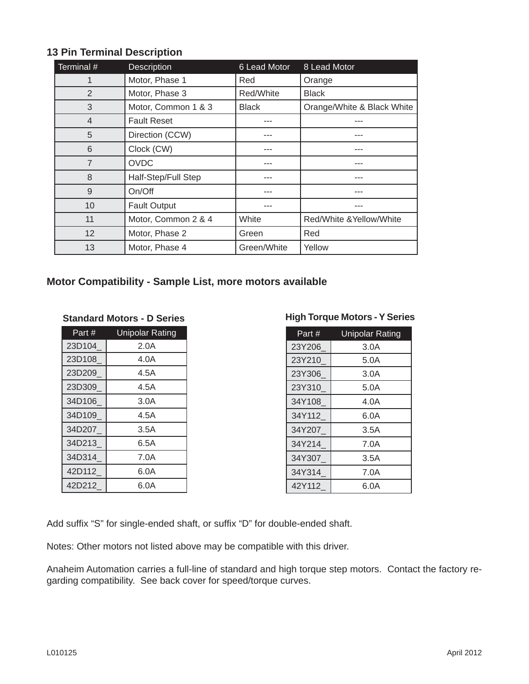#### **13 Pin Terminal Description**

| Terminal #     | Description         | 6 Lead Motor | 8 Lead Motor               |
|----------------|---------------------|--------------|----------------------------|
| 1              | Motor, Phase 1      | Red          | Orange                     |
| $\overline{2}$ | Motor, Phase 3      | Red/White    | <b>Black</b>               |
| 3              | Motor, Common 1 & 3 | <b>Black</b> | Orange/White & Black White |
| $\overline{4}$ | <b>Fault Reset</b>  | ---          |                            |
| 5              | Direction (CCW)     |              |                            |
| 6              | Clock (CW)          |              |                            |
| 7              | <b>OVDC</b>         | ---          |                            |
| 8              | Half-Step/Full Step |              |                            |
| 9              | On/Off              |              |                            |
| 10             | <b>Fault Output</b> |              |                            |
| 11             | Motor, Common 2 & 4 | White        | Red/White & Yellow/White   |
| 12             | Motor, Phase 2      | Green        | Red                        |
| 13             | Motor, Phase 4      | Green/White  | Yellow                     |

#### **Motor Compatibility - Sample List, more motors available**

| Part # | <b>Unipolar Rating</b> |
|--------|------------------------|
| 23D104 | 2.0A                   |
| 23D108 | 4.0A                   |
| 23D209 | 4.5A                   |
| 23D309 | 4.5A                   |
| 34D106 | 3.0A                   |
| 34D109 | 4.5A                   |
| 34D207 | 3.5A                   |
| 34D213 | 6.5A                   |
| 34D314 | 7.0A                   |
| 42D112 | 6.0A                   |
| 42D212 | 6.0A                   |

#### **Standard Motors - D Series High Torque Motors - Y Series**

| Part # | <b>Unipolar Rating</b> |
|--------|------------------------|
| 23Y206 | 3.0A                   |
| 23Y210 | 5.0A                   |
| 23Y306 | 3.0A                   |
| 23Y310 | 5.0A                   |
| 34Y108 | 4.0A                   |
| 34Y112 | 6.0A                   |
| 34Y207 | 3.5A                   |
| 34Y214 | 7.0A                   |
| 34Y307 | 3.5A                   |
| 34Y314 | 7.0A                   |
| 42Y112 | 6.0A                   |

Add suffix "S" for single-ended shaft, or suffix "D" for double-ended shaft.

Notes: Other motors not listed above may be compatible with this driver.

Anaheim Automation carries a full-line of standard and high torque step motors. Contact the factory regarding compatibility. See back cover for speed/torque curves.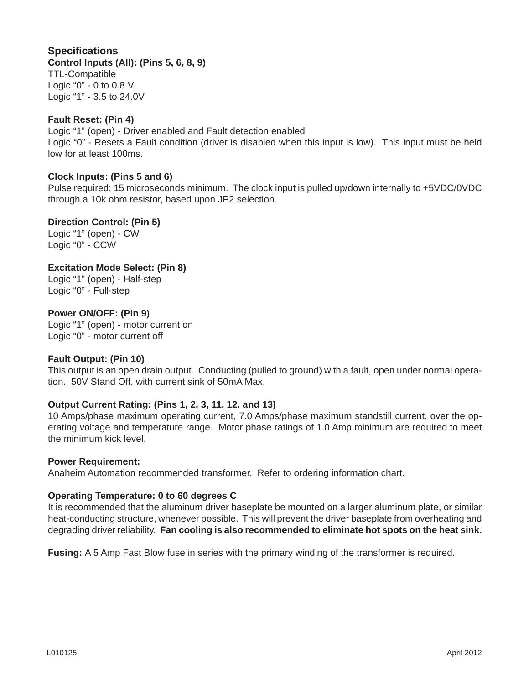#### **Specifi cations**

**Control Inputs (All): (Pins 5, 6, 8, 9)**

TTL-Compatible Logic "0" - 0 to 0.8 V Logic "1" - 3.5 to 24.0V

#### **Fault Reset: (Pin 4)**

Logic "1" (open) - Driver enabled and Fault detection enabled Logic "0" - Resets a Fault condition (driver is disabled when this input is low). This input must be held low for at least 100ms.

#### **Clock Inputs: (Pins 5 and 6)**

Pulse required; 15 microseconds minimum. The clock input is pulled up/down internally to +5VDC/0VDC through a 10k ohm resistor, based upon JP2 selection.

#### **Direction Control: (Pin 5)**

Logic "1" (open) - CW Logic "0" - CCW

#### **Excitation Mode Select: (Pin 8)**

Logic "1" (open) - Half-step Logic "0" - Full-step

#### **Power ON/OFF: (Pin 9)**

Logic "1" (open) - motor current on Logic "0" - motor current off

#### **Fault Output: (Pin 10)**

This output is an open drain output. Conducting (pulled to ground) with a fault, open under normal operation. 50V Stand Off, with current sink of 50mA Max.

#### **Output Current Rating: (Pins 1, 2, 3, 11, 12, and 13)**

10 Amps/phase maximum operating current, 7.0 Amps/phase maximum standstill current, over the operating voltage and temperature range. Motor phase ratings of 1.0 Amp minimum are required to meet the minimum kick level.

#### **Power Requirement:**

Anaheim Automation recommended transformer. Refer to ordering information chart.

#### **Operating Temperature: 0 to 60 degrees C**

It is recommended that the aluminum driver baseplate be mounted on a larger aluminum plate, or similar heat-conducting structure, whenever possible. This will prevent the driver baseplate from overheating and degrading driver reliability. **Fan cooling is also recommended to eliminate hot spots on the heat sink.**

**Fusing:** A 5 Amp Fast Blow fuse in series with the primary winding of the transformer is required.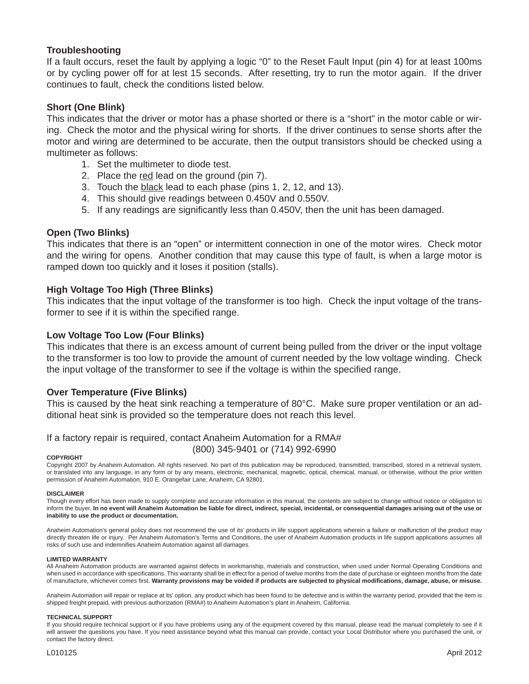#### **Troubleshooting**

If a fault occurs, reset the fault by applying a logic "0" to the Reset Fault Input (pin 4) for at least 100ms or by cycling power off for at lest 15 seconds. After resetting, try to run the motor again. If the driver continues to fault, check the conditions listed below.

#### **Short (One Blink)**

This indicates that the driver or motor has a phase shorted or there is a "short" in the motor cable or wiring. Check the motor and the physical wiring for shorts. If the driver continues to sense shorts after the motor and wiring are determined to be accurate, then the output transistors should be checked using a multimeter as follows:

- 1. Set the multimeter to diode test.
- 2. Place the red lead on the ground (pin 7).
- 3. Touch the black lead to each phase (pins 1, 2, 12, and 13).
- 4. This should give readings between 0.450V and 0.550V.
- 5. If any readings are significantly less than 0.450V, then the unit has been damaged.

#### **Open (Two Blinks)**

This indicates that there is an "open" or intermittent connection in one of the motor wires. Check motor and the wiring for opens. Another condition that may cause this type of fault, is when a large motor is ramped down too quickly and it loses it position (stalls).

#### **High Voltage Too High (Three Blinks)**

This indicates that the input voltage of the transformer is too high. Check the input voltage of the transformer to see if it is within the specified range.

#### **Low Voltage Too Low (Four Blinks)**

This indicates that there is an excess amount of current being pulled from the driver or the input voltage to the transformer is too low to provide the amount of current needed by the low voltage winding. Check the input voltage of the transformer to see if the voltage is within the specified range.

#### **Over Temperature (Five Blinks)**

This is caused by the heat sink reaching a temperature of 80°C. Make sure proper ventilation or an additional heat sink is provided so the temperature does not reach this level.

#### If a factory repair is required, contact Anaheim Automation for a RMA# (800) 345-9401 or (714) 992-6990

#### **COPYRIGHT**

Copyright 2007 by Anaheim Automation. All rights reserved. No part of this publication may be reproduced, transmitted, transcribed, stored in a retrieval system, or translated into any language, in any form or by any means, electronic, mechanical, magnetic, optical, chemical, manual, or otherwise, without the prior written permission of Anaheim Automation, 910 E. Orangefair Lane, Anaheim, CA 92801.

#### **DISCLAIMER**

Though every effort has been made to supply complete and accurate information in this manual, the contents are subject to change without notice or obligation to inform the buyer. **In no event will Anaheim Automation be liable for direct, indirect, special, incidental, or consequential damages arising out of the use or inability to use the product or documentation.**

Anaheim Automation's general policy does not recommend the use of its' products in life support applications wherein a failure or malfunction of the product may directly threaten life or injury. Per Anaheim Automation's Terms and Conditions, the user of Anaheim Automation products in life support applications assumes all risks of such use and indemnifies Anaheim Automation against all damages.

#### **LIMITED WARRANTY**

All Anaheim Automation products are warranted against defects in workmanship, materials and construction, when used under Normal Operating Conditions and when used in accordance with specifications. This warranty shall be in effect for a period of twelve months from the date of purchase or eighteen months from the date of manufacture, whichever comes first. Warranty provisions may be voided if products are subjected to physical modifications, damage, abuse, or misuse.

Anaheim Automation will repair or replace at its' option, any product which has been found to be defective and is within the warranty period, provided that the item is shipped freight prepaid, with previous authorization (RMA#) to Anaheim Automation's plant in Anaheim, California.

#### **TECHNICAL SUPPORT**

If you should require technical support or if you have problems using any of the equipment covered by this manual, please read the manual completely to see if it will answer the questions you have. If you need assistance beyond what this manual can provide, contact your Local Distributor where you purchased the unit, or contact the factory direct.